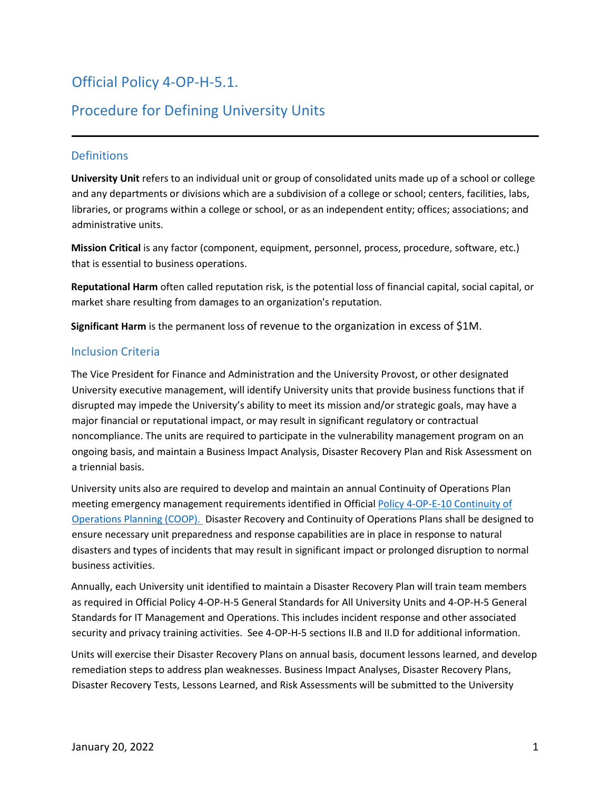# Official Policy 4-OP-H-5.1.

## Procedure for Defining University Units

### **Definitions**

**University Unit** refers to an individual unit or group of consolidated units made up of a school or college and any departments or divisions which are a subdivision of a college or school; centers, facilities, labs, libraries, or programs within a college or school, or as an independent entity; offices; associations; and administrative units.

**Mission Critical** is any factor (component, equipment, personnel, process, procedure, software, etc.) that is essential to business operations.

**Reputational Harm** often called reputation risk, is the potential loss of financial capital, social capital, or market share resulting from damages to an organization's reputation.

**Significant Harm** is the permanent loss of revenue to the organization in excess of \$1M.

### Inclusion Criteria

The Vice President for Finance and Administration and the University Provost, or other designated University executive management, will identify University units that provide business functions that if disrupted may impede the University's ability to meet its mission and/or strategic goals, may have a major financial or reputational impact, or may result in significant regulatory or contractual noncompliance. The units are required to participate in the vulnerability management program on an ongoing basis, and maintain a Business Impact Analysis, Disaster Recovery Plan and Risk Assessment on a triennial basis.

University units also are required to develop and maintain an annual Continuity of Operations Plan meeting emergency management requirements identified in Official [Policy 4-OP-E-10 Continuity of](https://policies.vpfa.fsu.edu/policies-and-procedures/general-university/continuity-operations-planning-coop)  [Operations Planning \(COOP\).](https://policies.vpfa.fsu.edu/policies-and-procedures/general-university/continuity-operations-planning-coop) Disaster Recovery and Continuity of Operations Plans shall be designed to ensure necessary unit preparedness and response capabilities are in place in response to natural disasters and types of incidents that may result in significant impact or prolonged disruption to normal business activities.

Annually, each University unit identified to maintain a Disaster Recovery Plan will train team members as required in Official Policy 4-OP-H-5 General Standards for All University Units and 4-OP-H-5 General Standards for IT Management and Operations. This includes incident response and other associated security and privacy training activities. See 4-OP-H-5 sections II.B and II.D for additional information.

Units will exercise their Disaster Recovery Plans on annual basis, document lessons learned, and develop remediation steps to address plan weaknesses. Business Impact Analyses, Disaster Recovery Plans, Disaster Recovery Tests, Lessons Learned, and Risk Assessments will be submitted to the University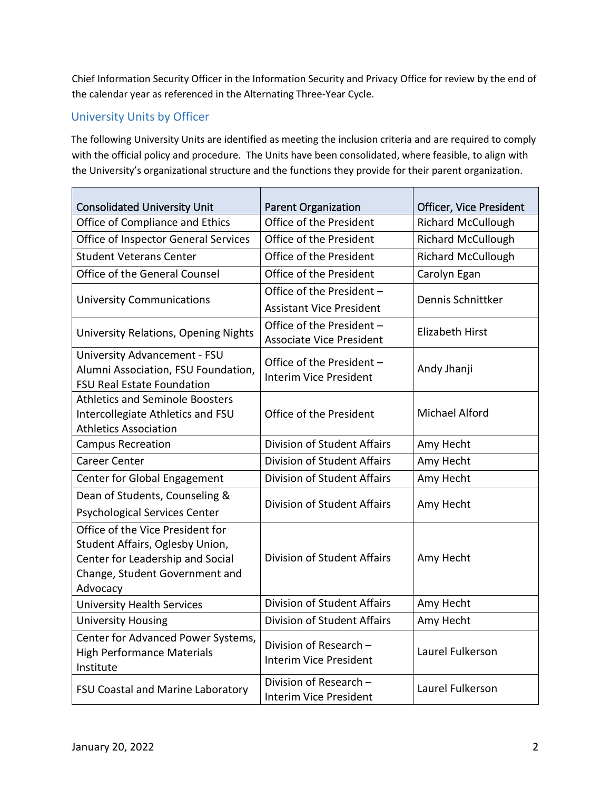Chief Information Security Officer in the Information Security and Privacy Office for review by the end of the calendar year as referenced in the Alternating Three-Year Cycle.

## University Units by Officer

The following University Units are identified as meeting the inclusion criteria and are required to comply with the official policy and procedure. The Units have been consolidated, where feasible, to align with the University's organizational structure and the functions they provide for their parent organization.

| <b>Consolidated University Unit</b>                                         | <b>Parent Organization</b>         | Officer, Vice President   |
|-----------------------------------------------------------------------------|------------------------------------|---------------------------|
| Office of Compliance and Ethics                                             | Office of the President            | <b>Richard McCullough</b> |
| Office of Inspector General Services                                        | Office of the President            | <b>Richard McCullough</b> |
| <b>Student Veterans Center</b>                                              | Office of the President            | <b>Richard McCullough</b> |
| Office of the General Counsel                                               | Office of the President            | Carolyn Egan              |
| <b>University Communications</b>                                            | Office of the President -          | Dennis Schnittker         |
|                                                                             | <b>Assistant Vice President</b>    |                           |
| University Relations, Opening Nights                                        | Office of the President -          | <b>Elizabeth Hirst</b>    |
|                                                                             | <b>Associate Vice President</b>    |                           |
| University Advancement - FSU                                                | Office of the President -          | Andy Jhanji               |
| Alumni Association, FSU Foundation,                                         | <b>Interim Vice President</b>      |                           |
| <b>FSU Real Estate Foundation</b><br><b>Athletics and Seminole Boosters</b> |                                    |                           |
| Intercollegiate Athletics and FSU                                           | Office of the President            | <b>Michael Alford</b>     |
| <b>Athletics Association</b>                                                |                                    |                           |
| <b>Campus Recreation</b>                                                    | <b>Division of Student Affairs</b> | Amy Hecht                 |
| <b>Career Center</b>                                                        | <b>Division of Student Affairs</b> | Amy Hecht                 |
| Center for Global Engagement                                                | <b>Division of Student Affairs</b> | Amy Hecht                 |
| Dean of Students, Counseling &                                              |                                    |                           |
| <b>Psychological Services Center</b>                                        | <b>Division of Student Affairs</b> | Amy Hecht                 |
| Office of the Vice President for                                            |                                    |                           |
| Student Affairs, Oglesby Union,                                             |                                    |                           |
| Center for Leadership and Social                                            | <b>Division of Student Affairs</b> | Amy Hecht                 |
| Change, Student Government and                                              |                                    |                           |
| Advocacy                                                                    |                                    |                           |
| <b>University Health Services</b>                                           | <b>Division of Student Affairs</b> | Amy Hecht                 |
| <b>University Housing</b>                                                   | <b>Division of Student Affairs</b> | Amy Hecht                 |
| Center for Advanced Power Systems,                                          | Division of Research -             |                           |
| <b>High Performance Materials</b>                                           | <b>Interim Vice President</b>      | Laurel Fulkerson          |
| Institute                                                                   |                                    |                           |
| FSU Coastal and Marine Laboratory                                           | Division of Research -             | Laurel Fulkerson          |
|                                                                             | <b>Interim Vice President</b>      |                           |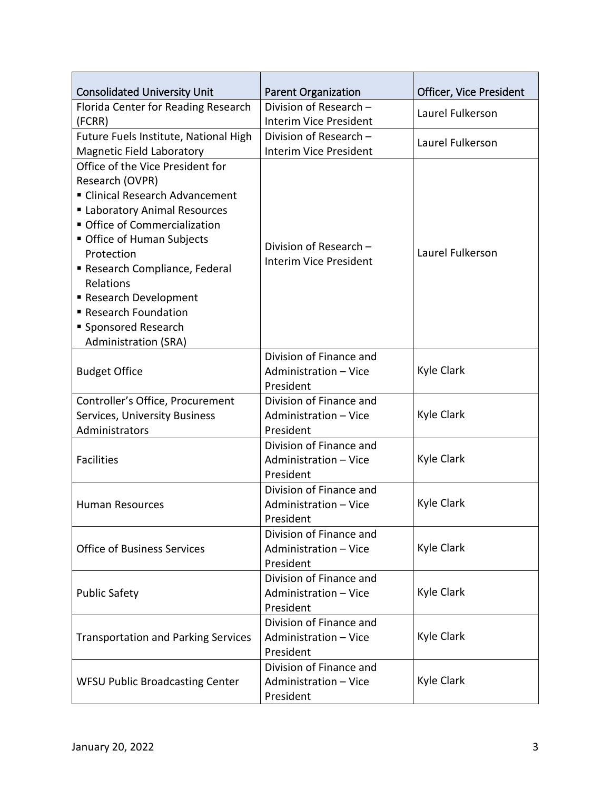| <b>Consolidated University Unit</b>        | <b>Parent Organization</b>    | Officer, Vice President |
|--------------------------------------------|-------------------------------|-------------------------|
| Florida Center for Reading Research        | Division of Research -        | Laurel Fulkerson        |
| (FCRR)                                     | <b>Interim Vice President</b> |                         |
| Future Fuels Institute, National High      | Division of Research -        | Laurel Fulkerson        |
| <b>Magnetic Field Laboratory</b>           | <b>Interim Vice President</b> |                         |
| Office of the Vice President for           |                               |                         |
| Research (OVPR)                            |                               | Laurel Fulkerson        |
| ■ Clinical Research Advancement            |                               |                         |
| Laboratory Animal Resources                |                               |                         |
| Office of Commercialization                |                               |                         |
| Office of Human Subjects                   | Division of Research -        |                         |
| Protection                                 | <b>Interim Vice President</b> |                         |
| Research Compliance, Federal               |                               |                         |
| Relations                                  |                               |                         |
| Research Development                       |                               |                         |
| Research Foundation                        |                               |                         |
| ■ Sponsored Research                       |                               |                         |
| <b>Administration (SRA)</b>                |                               |                         |
|                                            | Division of Finance and       |                         |
| <b>Budget Office</b>                       | Administration - Vice         | Kyle Clark              |
|                                            | President                     |                         |
| Controller's Office, Procurement           | Division of Finance and       |                         |
| Services, University Business              | Administration - Vice         | Kyle Clark              |
| Administrators                             | President                     |                         |
|                                            | Division of Finance and       | Kyle Clark              |
| <b>Facilities</b>                          | Administration - Vice         |                         |
|                                            | President                     |                         |
|                                            | Division of Finance and       |                         |
| <b>Human Resources</b>                     | Administration - Vice         | Kyle Clark              |
|                                            | President                     |                         |
| <b>Office of Business Services</b>         | Division of Finance and       |                         |
|                                            | Administration - Vice         | Kyle Clark              |
|                                            | President                     |                         |
| <b>Public Safety</b>                       | Division of Finance and       |                         |
|                                            | Administration - Vice         | Kyle Clark              |
|                                            | President                     |                         |
| <b>Transportation and Parking Services</b> | Division of Finance and       |                         |
|                                            | Administration - Vice         | Kyle Clark              |
|                                            | President                     |                         |
| <b>WFSU Public Broadcasting Center</b>     | Division of Finance and       | Kyle Clark              |
|                                            | Administration - Vice         |                         |
|                                            | President                     |                         |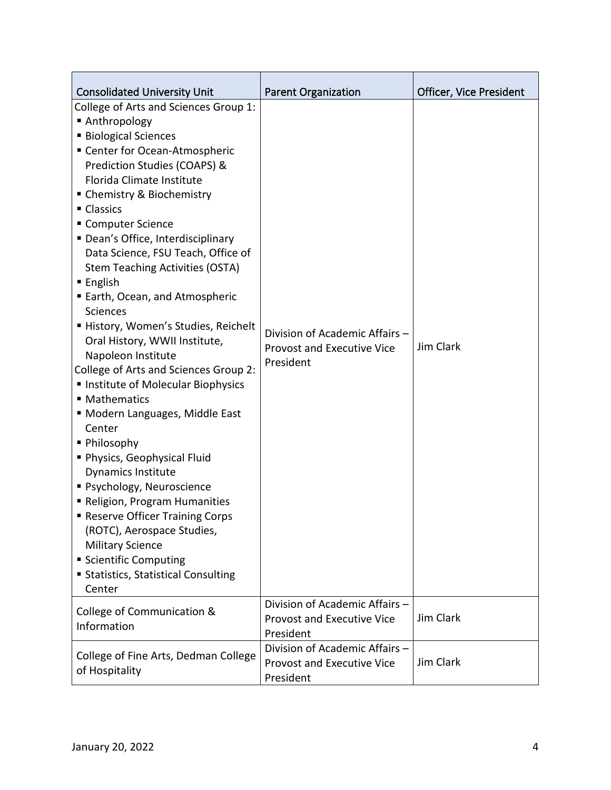| <b>Consolidated University Unit</b>                                                                                                                                                                                                                                                                                                                                                                                                                                                                                                                                                                                                                                                                                                                                                                                                                                                                                                                                                                                                      | <b>Parent Organization</b>                                                       | Officer, Vice President |
|------------------------------------------------------------------------------------------------------------------------------------------------------------------------------------------------------------------------------------------------------------------------------------------------------------------------------------------------------------------------------------------------------------------------------------------------------------------------------------------------------------------------------------------------------------------------------------------------------------------------------------------------------------------------------------------------------------------------------------------------------------------------------------------------------------------------------------------------------------------------------------------------------------------------------------------------------------------------------------------------------------------------------------------|----------------------------------------------------------------------------------|-------------------------|
| College of Arts and Sciences Group 1:<br>■ Anthropology<br><b>Biological Sciences</b><br>■ Center for Ocean-Atmospheric<br>Prediction Studies (COAPS) &<br>Florida Climate Institute<br>• Chemistry & Biochemistry<br>• Classics<br>■ Computer Science<br>" Dean's Office, Interdisciplinary<br>Data Science, FSU Teach, Office of<br><b>Stem Teaching Activities (OSTA)</b><br>$\blacksquare$ English<br>■ Earth, Ocean, and Atmospheric<br><b>Sciences</b><br>History, Women's Studies, Reichelt<br>Oral History, WWII Institute,<br>Napoleon Institute<br>College of Arts and Sciences Group 2:<br>Institute of Molecular Biophysics<br>■ Mathematics<br>" Modern Languages, Middle East<br>Center<br>■ Philosophy<br>Physics, Geophysical Fluid<br><b>Dynamics Institute</b><br>· Psychology, Neuroscience<br>Religion, Program Humanities<br><b>- Reserve Officer Training Corps</b><br>(ROTC), Aerospace Studies,<br><b>Military Science</b><br><b>Scientific Computing</b><br><b>Statistics, Statistical Consulting</b><br>Center | Division of Academic Affairs -<br><b>Provost and Executive Vice</b><br>President | Jim Clark               |
| College of Communication &<br>Information                                                                                                                                                                                                                                                                                                                                                                                                                                                                                                                                                                                                                                                                                                                                                                                                                                                                                                                                                                                                | Division of Academic Affairs -<br><b>Provost and Executive Vice</b><br>President | Jim Clark               |
| College of Fine Arts, Dedman College<br>of Hospitality                                                                                                                                                                                                                                                                                                                                                                                                                                                                                                                                                                                                                                                                                                                                                                                                                                                                                                                                                                                   | Division of Academic Affairs -<br><b>Provost and Executive Vice</b><br>President | Jim Clark               |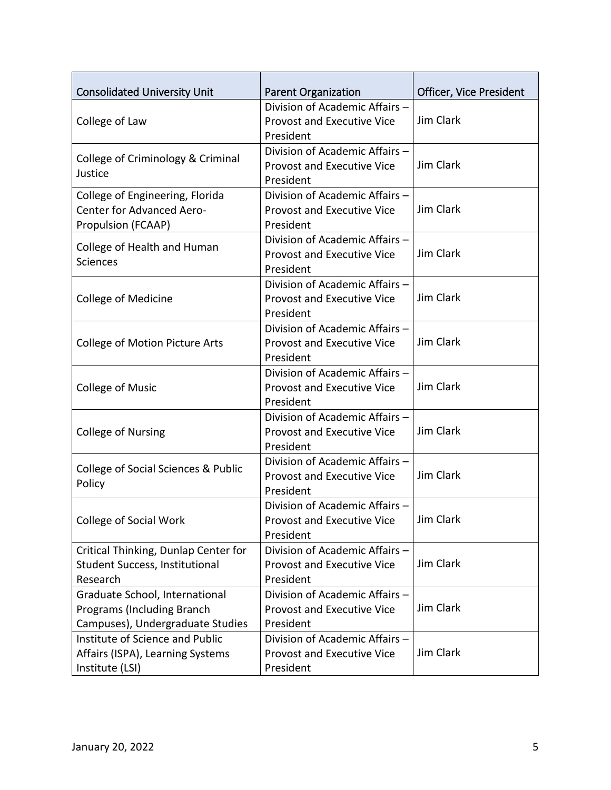| <b>Consolidated University Unit</b>           | <b>Parent Organization</b>        | Officer, Vice President |
|-----------------------------------------------|-----------------------------------|-------------------------|
|                                               | Division of Academic Affairs -    |                         |
| College of Law                                | <b>Provost and Executive Vice</b> | Jim Clark               |
|                                               | President                         |                         |
|                                               | Division of Academic Affairs -    |                         |
| College of Criminology & Criminal             | <b>Provost and Executive Vice</b> | Jim Clark               |
| Justice                                       |                                   |                         |
|                                               | President                         |                         |
| College of Engineering, Florida               | Division of Academic Affairs -    | Jim Clark               |
| <b>Center for Advanced Aero-</b>              | <b>Provost and Executive Vice</b> |                         |
| Propulsion (FCAAP)                            | President                         |                         |
| College of Health and Human                   | Division of Academic Affairs -    |                         |
| <b>Sciences</b>                               | <b>Provost and Executive Vice</b> | Jim Clark               |
|                                               | President                         |                         |
|                                               | Division of Academic Affairs -    |                         |
| <b>College of Medicine</b>                    | <b>Provost and Executive Vice</b> | Jim Clark               |
|                                               | President                         |                         |
|                                               | Division of Academic Affairs -    |                         |
| <b>College of Motion Picture Arts</b>         | <b>Provost and Executive Vice</b> | Jim Clark               |
|                                               | President                         |                         |
|                                               | Division of Academic Affairs -    |                         |
| <b>College of Music</b>                       | <b>Provost and Executive Vice</b> | Jim Clark               |
|                                               | President                         |                         |
|                                               | Division of Academic Affairs -    |                         |
| <b>College of Nursing</b>                     | <b>Provost and Executive Vice</b> | Jim Clark               |
|                                               | President                         |                         |
|                                               | Division of Academic Affairs -    |                         |
| College of Social Sciences & Public<br>Policy | <b>Provost and Executive Vice</b> | Jim Clark               |
|                                               | President                         |                         |
| College of Social Work                        | Division of Academic Affairs -    |                         |
|                                               | Provost and Executive Vice        | Jim Clark               |
|                                               | President                         |                         |
| Critical Thinking, Dunlap Center for          | Division of Academic Affairs -    |                         |
| Student Success, Institutional                | <b>Provost and Executive Vice</b> | Jim Clark               |
| Research                                      | President                         |                         |
| Graduate School, International                | Division of Academic Affairs -    |                         |
| Programs (Including Branch                    | <b>Provost and Executive Vice</b> | Jim Clark               |
| Campuses), Undergraduate Studies              | President                         |                         |
| Institute of Science and Public               | Division of Academic Affairs -    |                         |
| Affairs (ISPA), Learning Systems              | <b>Provost and Executive Vice</b> | Jim Clark               |
| Institute (LSI)                               | President                         |                         |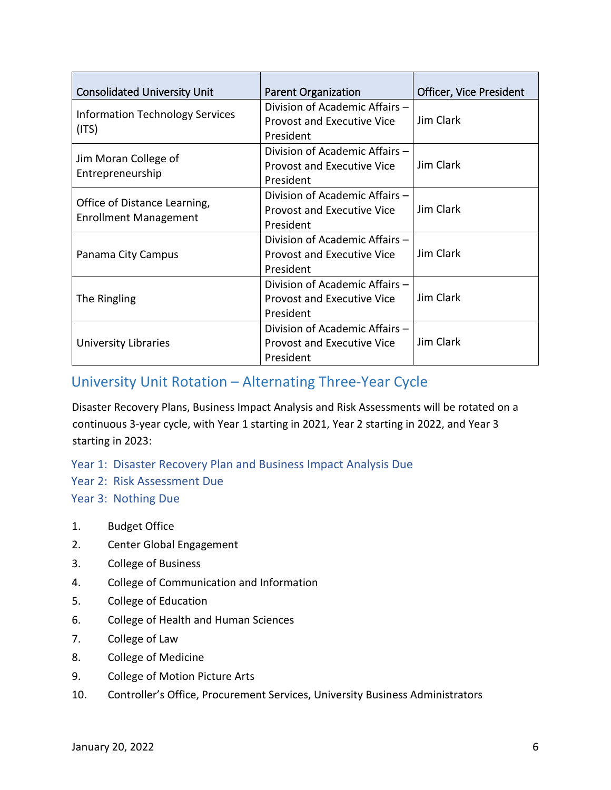| <b>Consolidated University Unit</b>                          | <b>Parent Organization</b>                                                       | <b>Officer, Vice President</b> |
|--------------------------------------------------------------|----------------------------------------------------------------------------------|--------------------------------|
| <b>Information Technology Services</b><br>(ITS)              | Division of Academic Affairs -<br><b>Provost and Executive Vice</b><br>President | Jim Clark                      |
| Jim Moran College of<br>Entrepreneurship                     | Division of Academic Affairs -<br><b>Provost and Executive Vice</b><br>President | Jim Clark                      |
| Office of Distance Learning,<br><b>Enrollment Management</b> | Division of Academic Affairs -<br><b>Provost and Executive Vice</b><br>President | Jim Clark                      |
| Panama City Campus                                           | Division of Academic Affairs -<br><b>Provost and Executive Vice</b><br>President | Jim Clark                      |
| The Ringling                                                 | Division of Academic Affairs -<br><b>Provost and Executive Vice</b><br>President | Jim Clark                      |
| <b>University Libraries</b>                                  | Division of Academic Affairs -<br>Provost and Executive Vice<br>President        | Jim Clark                      |

## University Unit Rotation – Alternating Three-Year Cycle

Disaster Recovery Plans, Business Impact Analysis and Risk Assessments will be rotated on a continuous 3-year cycle, with Year 1 starting in 2021, Year 2 starting in 2022, and Year 3 starting in 2023:

Year 1: Disaster Recovery Plan and Business Impact Analysis Due

Year 2: Risk Assessment Due

Year 3: Nothing Due

- 1. Budget Office
- 2. Center Global Engagement
- 3. College of Business
- 4. College of Communication and Information
- 5. College of Education
- 6. College of Health and Human Sciences
- 7. College of Law
- 8. College of Medicine
- 9. College of Motion Picture Arts
- 10. Controller's Office, Procurement Services, University Business Administrators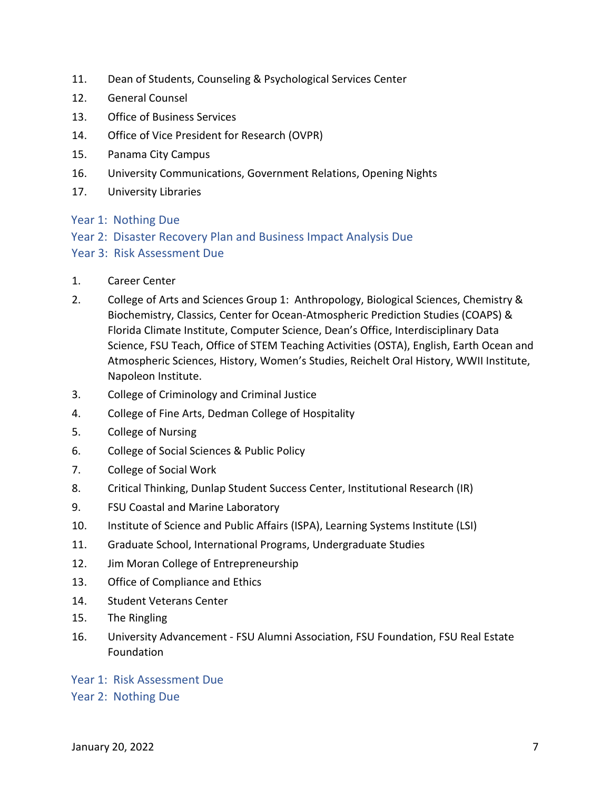- 11. Dean of Students, Counseling & Psychological Services Center
- 12. General Counsel
- 13. Office of Business Services
- 14. Office of Vice President for Research (OVPR)
- 15. Panama City Campus
- 16. University Communications, Government Relations, Opening Nights
- 17. University Libraries
- Year 1: Nothing Due
- Year 2: Disaster Recovery Plan and Business Impact Analysis Due
- Year 3: Risk Assessment Due
- 1. Career Center
- 2. College of Arts and Sciences Group 1: Anthropology, Biological Sciences, Chemistry & Biochemistry, Classics, Center for Ocean-Atmospheric Prediction Studies (COAPS) & Florida Climate Institute, Computer Science, Dean's Office, Interdisciplinary Data Science, FSU Teach, Office of STEM Teaching Activities (OSTA), English, Earth Ocean and Atmospheric Sciences, History, Women's Studies, Reichelt Oral History, WWII Institute, Napoleon Institute.
- 3. College of Criminology and Criminal Justice
- 4. College of Fine Arts, Dedman College of Hospitality
- 5. College of Nursing
- 6. College of Social Sciences & Public Policy
- 7. College of Social Work
- 8. Critical Thinking, Dunlap Student Success Center, Institutional Research (IR)
- 9. FSU Coastal and Marine Laboratory
- 10. Institute of Science and Public Affairs (ISPA), Learning Systems Institute (LSI)
- 11. Graduate School, International Programs, Undergraduate Studies
- 12. Jim Moran College of Entrepreneurship
- 13. Office of Compliance and Ethics
- 14. Student Veterans Center
- 15. The Ringling
- 16. University Advancement FSU Alumni Association, FSU Foundation, FSU Real Estate Foundation
- Year 1: Risk Assessment Due
- Year 2: Nothing Due